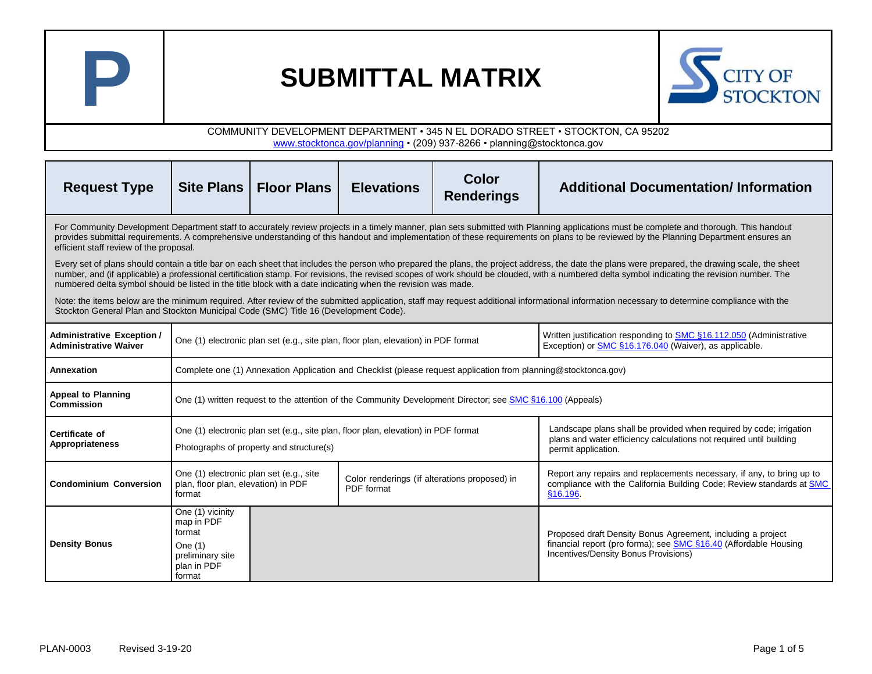



| <b>Request Type</b>                                                                                                                                                                                                                                                                                                                                                                                                                                                                                               | Site Plans                                                                                                                                              | <b>Floor Plans</b>                       | <b>Elevations</b>                                                                  | Color<br><b>Renderings</b>                                                                                                                                        | <b>Additional Documentation/Information</b>                                                                                                                             |  |  |
|-------------------------------------------------------------------------------------------------------------------------------------------------------------------------------------------------------------------------------------------------------------------------------------------------------------------------------------------------------------------------------------------------------------------------------------------------------------------------------------------------------------------|---------------------------------------------------------------------------------------------------------------------------------------------------------|------------------------------------------|------------------------------------------------------------------------------------|-------------------------------------------------------------------------------------------------------------------------------------------------------------------|-------------------------------------------------------------------------------------------------------------------------------------------------------------------------|--|--|
| For Community Development Department staff to accurately review projects in a timely manner, plan sets submitted with Planning applications must be complete and thorough. This handout<br>provides submittal requirements. A comprehensive understanding of this handout and implementation of these requirements on plans to be reviewed by the Planning Department ensures an<br>efficient staff review of the proposal.                                                                                       |                                                                                                                                                         |                                          |                                                                                    |                                                                                                                                                                   |                                                                                                                                                                         |  |  |
| Every set of plans should contain a title bar on each sheet that includes the person who prepared the plans, the project address, the date the plans were prepared, the drawing scale, the sheet<br>number, and (if applicable) a professional certification stamp. For revisions, the revised scopes of work should be clouded, with a numbered delta symbol indicating the revision number. The<br>numbered delta symbol should be listed in the title block with a date indicating when the revision was made. |                                                                                                                                                         |                                          |                                                                                    |                                                                                                                                                                   |                                                                                                                                                                         |  |  |
| Note: the items below are the minimum required. After review of the submitted application, staff may request additional informational information necessary to determine compliance with the<br>Stockton General Plan and Stockton Municipal Code (SMC) Title 16 (Development Code).                                                                                                                                                                                                                              |                                                                                                                                                         |                                          |                                                                                    |                                                                                                                                                                   |                                                                                                                                                                         |  |  |
| <b>Administrative Exception /</b><br><b>Administrative Waiver</b>                                                                                                                                                                                                                                                                                                                                                                                                                                                 |                                                                                                                                                         |                                          | One (1) electronic plan set (e.g., site plan, floor plan, elevation) in PDF format |                                                                                                                                                                   | Written justification responding to SMC §16.112.050 (Administrative<br>Exception) or SMC §16.176.040 (Waiver), as applicable.                                           |  |  |
| Annexation                                                                                                                                                                                                                                                                                                                                                                                                                                                                                                        | Complete one (1) Annexation Application and Checklist (please request application from planning@stocktonca.gov)                                         |                                          |                                                                                    |                                                                                                                                                                   |                                                                                                                                                                         |  |  |
| <b>Appeal to Planning</b><br>Commission                                                                                                                                                                                                                                                                                                                                                                                                                                                                           | One (1) written request to the attention of the Community Development Director; see SMC §16.100 (Appeals)                                               |                                          |                                                                                    |                                                                                                                                                                   |                                                                                                                                                                         |  |  |
| Certificate of<br><b>Appropriateness</b>                                                                                                                                                                                                                                                                                                                                                                                                                                                                          |                                                                                                                                                         | Photographs of property and structure(s) | One (1) electronic plan set (e.g., site plan, floor plan, elevation) in PDF format | Landscape plans shall be provided when required by code; irrigation<br>plans and water efficiency calculations not required until building<br>permit application. |                                                                                                                                                                         |  |  |
| <b>Condominium Conversion</b>                                                                                                                                                                                                                                                                                                                                                                                                                                                                                     | One (1) electronic plan set (e.g., site<br>Color renderings (if alterations proposed) in<br>plan, floor plan, elevation) in PDF<br>PDF format<br>format |                                          |                                                                                    |                                                                                                                                                                   | Report any repairs and replacements necessary, if any, to bring up to<br>compliance with the California Building Code; Review standards at SMC<br>§16.196.              |  |  |
| <b>Density Bonus</b>                                                                                                                                                                                                                                                                                                                                                                                                                                                                                              | One (1) vicinity<br>map in PDF<br>format<br>One $(1)$<br>preliminary site<br>plan in PDF<br>format                                                      |                                          |                                                                                    |                                                                                                                                                                   | Proposed draft Density Bonus Agreement, including a project<br>financial report (pro forma); see SMC §16.40 (Affordable Housing<br>Incentives/Density Bonus Provisions) |  |  |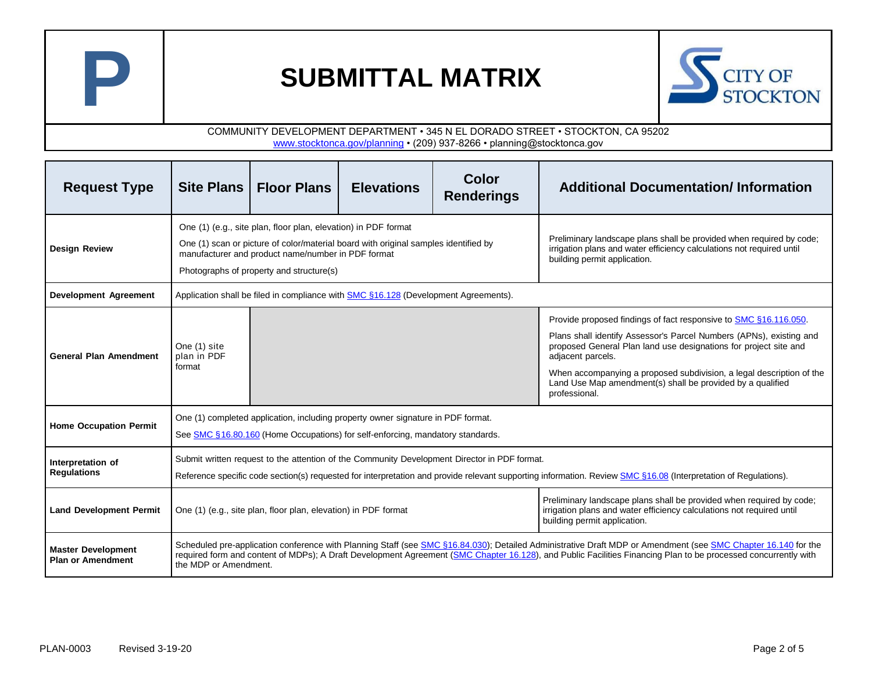



| <b>Request Type</b>                                   | Site Plans                                                                                                                                                                                                                                                                                                                                               | <b>Floor Plans</b>                                                                                                                                               | <b>Elevations</b>                                                                   | Color<br><b>Renderings</b>                                                                                                                                                    | <b>Additional Documentation/Information</b>                                                                                                                                                                                                                                                                                                                                             |  |  |
|-------------------------------------------------------|----------------------------------------------------------------------------------------------------------------------------------------------------------------------------------------------------------------------------------------------------------------------------------------------------------------------------------------------------------|------------------------------------------------------------------------------------------------------------------------------------------------------------------|-------------------------------------------------------------------------------------|-------------------------------------------------------------------------------------------------------------------------------------------------------------------------------|-----------------------------------------------------------------------------------------------------------------------------------------------------------------------------------------------------------------------------------------------------------------------------------------------------------------------------------------------------------------------------------------|--|--|
| <b>Design Review</b>                                  |                                                                                                                                                                                                                                                                                                                                                          | One (1) (e.g., site plan, floor plan, elevation) in PDF format<br>manufacturer and product name/number in PDF format<br>Photographs of property and structure(s) | One (1) scan or picture of color/material board with original samples identified by | Preliminary landscape plans shall be provided when required by code;<br>irrigation plans and water efficiency calculations not required until<br>building permit application. |                                                                                                                                                                                                                                                                                                                                                                                         |  |  |
| <b>Development Agreement</b>                          | Application shall be filed in compliance with SMC §16.128 (Development Agreements).                                                                                                                                                                                                                                                                      |                                                                                                                                                                  |                                                                                     |                                                                                                                                                                               |                                                                                                                                                                                                                                                                                                                                                                                         |  |  |
| <b>General Plan Amendment</b>                         | One (1) site<br>plan in PDF<br>format                                                                                                                                                                                                                                                                                                                    |                                                                                                                                                                  |                                                                                     |                                                                                                                                                                               | Provide proposed findings of fact responsive to SMC §16.116.050.<br>Plans shall identify Assessor's Parcel Numbers (APNs), existing and<br>proposed General Plan land use designations for project site and<br>adjacent parcels.<br>When accompanying a proposed subdivision, a legal description of the<br>Land Use Map amendment(s) shall be provided by a qualified<br>professional. |  |  |
| <b>Home Occupation Permit</b>                         | One (1) completed application, including property owner signature in PDF format.<br>See SMC §16.80.160 (Home Occupations) for self-enforcing, mandatory standards.                                                                                                                                                                                       |                                                                                                                                                                  |                                                                                     |                                                                                                                                                                               |                                                                                                                                                                                                                                                                                                                                                                                         |  |  |
| Interpretation of<br><b>Regulations</b>               | Submit written request to the attention of the Community Development Director in PDF format.<br>Reference specific code section(s) requested for interpretation and provide relevant supporting information. Review SMC §16.08 (Interpretation of Regulations).                                                                                          |                                                                                                                                                                  |                                                                                     |                                                                                                                                                                               |                                                                                                                                                                                                                                                                                                                                                                                         |  |  |
| <b>Land Development Permit</b>                        |                                                                                                                                                                                                                                                                                                                                                          | One (1) (e.g., site plan, floor plan, elevation) in PDF format                                                                                                   |                                                                                     | Preliminary landscape plans shall be provided when required by code;<br>irrigation plans and water efficiency calculations not required until<br>building permit application. |                                                                                                                                                                                                                                                                                                                                                                                         |  |  |
| <b>Master Development</b><br><b>Plan or Amendment</b> | Scheduled pre-application conference with Planning Staff (see SMC §16.84.030); Detailed Administrative Draft MDP or Amendment (see SMC Chapter 16.140 for the<br>required form and content of MDPs); A Draft Development Agreement (SMC Chapter 16.128), and Public Facilities Financing Plan to be processed concurrently with<br>the MDP or Amendment. |                                                                                                                                                                  |                                                                                     |                                                                                                                                                                               |                                                                                                                                                                                                                                                                                                                                                                                         |  |  |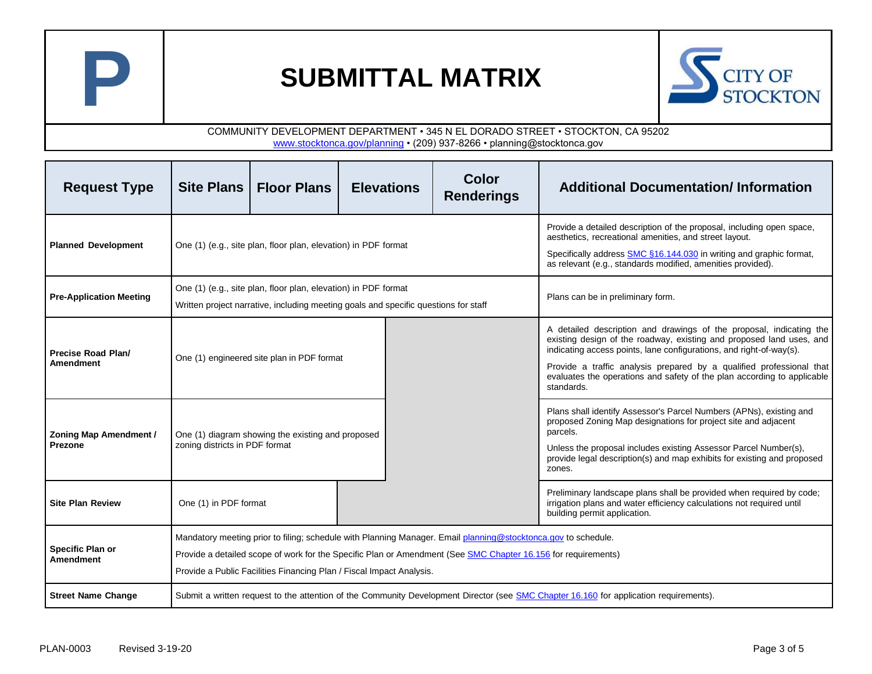



| <b>Request Type</b>                             |                                                                                                                                                                                                                                                                                                        | Site Plans   Floor Plans                                                                                                                              | <b>Elevations</b> | Color<br><b>Renderings</b>                                                                                                                                                                                                                                                                                                                                                          | <b>Additional Documentation/Information</b> |  |
|-------------------------------------------------|--------------------------------------------------------------------------------------------------------------------------------------------------------------------------------------------------------------------------------------------------------------------------------------------------------|-------------------------------------------------------------------------------------------------------------------------------------------------------|-------------------|-------------------------------------------------------------------------------------------------------------------------------------------------------------------------------------------------------------------------------------------------------------------------------------------------------------------------------------------------------------------------------------|---------------------------------------------|--|
| <b>Planned Development</b>                      |                                                                                                                                                                                                                                                                                                        | One (1) (e.g., site plan, floor plan, elevation) in PDF format                                                                                        |                   | Provide a detailed description of the proposal, including open space,<br>aesthetics, recreational amenities, and street layout.<br>Specifically address SMC §16.144.030 in writing and graphic format,<br>as relevant (e.g., standards modified, amenities provided).                                                                                                               |                                             |  |
| <b>Pre-Application Meeting</b>                  |                                                                                                                                                                                                                                                                                                        | One (1) (e.g., site plan, floor plan, elevation) in PDF format<br>Written project narrative, including meeting goals and specific questions for staff |                   | Plans can be in preliminary form.                                                                                                                                                                                                                                                                                                                                                   |                                             |  |
| Precise Road Plan/<br><b>Amendment</b>          |                                                                                                                                                                                                                                                                                                        | One (1) engineered site plan in PDF format                                                                                                            |                   | A detailed description and drawings of the proposal, indicating the<br>existing design of the roadway, existing and proposed land uses, and<br>indicating access points, lane configurations, and right-of-way(s).<br>Provide a traffic analysis prepared by a qualified professional that<br>evaluates the operations and safety of the plan according to applicable<br>standards. |                                             |  |
| <b>Zoning Map Amendment /</b><br><b>Prezone</b> | zoning districts in PDF format                                                                                                                                                                                                                                                                         | One (1) diagram showing the existing and proposed                                                                                                     |                   | Plans shall identify Assessor's Parcel Numbers (APNs), existing and<br>proposed Zoning Map designations for project site and adjacent<br>parcels.<br>Unless the proposal includes existing Assessor Parcel Number(s),<br>provide legal description(s) and map exhibits for existing and proposed<br>zones.                                                                          |                                             |  |
| <b>Site Plan Review</b>                         | One (1) in PDF format                                                                                                                                                                                                                                                                                  |                                                                                                                                                       |                   | Preliminary landscape plans shall be provided when required by code;<br>irrigation plans and water efficiency calculations not required until<br>building permit application.                                                                                                                                                                                                       |                                             |  |
| Specific Plan or<br><b>Amendment</b>            | Mandatory meeting prior to filing; schedule with Planning Manager. Email planning@stocktonca.gov to schedule.<br>Provide a detailed scope of work for the Specific Plan or Amendment (See SMC Chapter 16.156 for requirements)<br>Provide a Public Facilities Financing Plan / Fiscal Impact Analysis. |                                                                                                                                                       |                   |                                                                                                                                                                                                                                                                                                                                                                                     |                                             |  |
| <b>Street Name Change</b>                       | Submit a written request to the attention of the Community Development Director (see SMC Chapter 16.160 for application requirements).                                                                                                                                                                 |                                                                                                                                                       |                   |                                                                                                                                                                                                                                                                                                                                                                                     |                                             |  |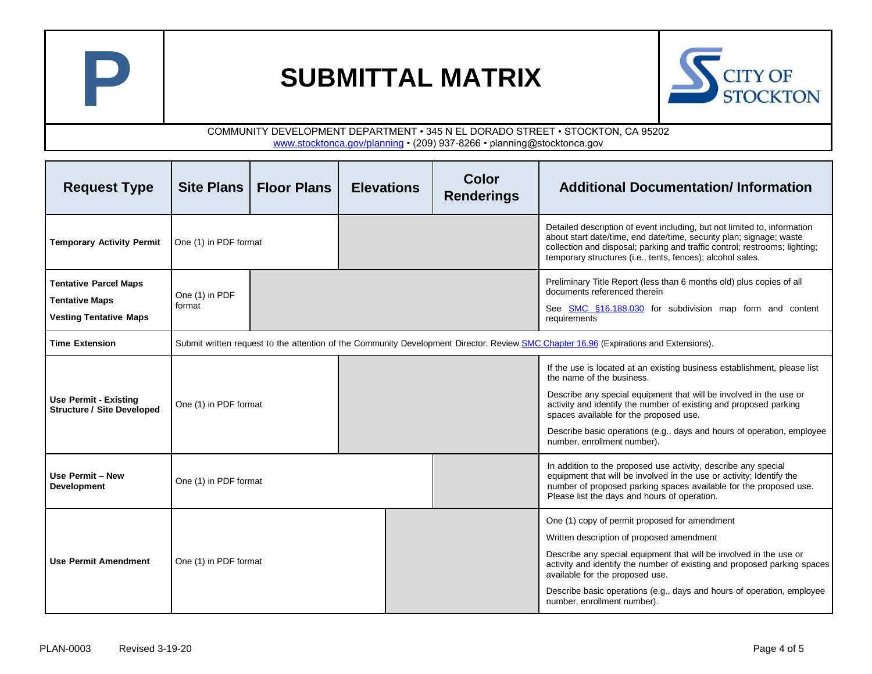



| <b>Request Type</b>                                                                    |                          | Site Plans   Floor Plans                                                                                                              | <b>Elevations</b> |  | Color<br><b>Renderings</b> | <b>Additional Documentation/Information</b>                                                                                                                                                                                                                                                                                                                                                         |  |  |
|----------------------------------------------------------------------------------------|--------------------------|---------------------------------------------------------------------------------------------------------------------------------------|-------------------|--|----------------------------|-----------------------------------------------------------------------------------------------------------------------------------------------------------------------------------------------------------------------------------------------------------------------------------------------------------------------------------------------------------------------------------------------------|--|--|
| <b>Temporary Activity Permit</b>                                                       | One (1) in PDF format    |                                                                                                                                       |                   |  |                            | Detailed description of event including, but not limited to, information<br>about start date/time, end date/time, security plan; signage; waste<br>collection and disposal; parking and traffic control; restrooms; lighting;<br>temporary structures (i.e., tents, fences); alcohol sales.                                                                                                         |  |  |
| <b>Tentative Parcel Maps</b><br><b>Tentative Maps</b><br><b>Vesting Tentative Maps</b> | One (1) in PDF<br>format |                                                                                                                                       |                   |  |                            | Preliminary Title Report (less than 6 months old) plus copies of all<br>documents referenced therein<br>See SMC §16.188.030 for subdivision map form and content<br>requirements                                                                                                                                                                                                                    |  |  |
| <b>Time Extension</b>                                                                  |                          | Submit written request to the attention of the Community Development Director. Review SMC Chapter 16.96 (Expirations and Extensions). |                   |  |                            |                                                                                                                                                                                                                                                                                                                                                                                                     |  |  |
| Use Permit - Existing<br><b>Structure / Site Developed</b>                             | One (1) in PDF format    |                                                                                                                                       |                   |  |                            | If the use is located at an existing business establishment, please list<br>the name of the business.<br>Describe any special equipment that will be involved in the use or<br>activity and identify the number of existing and proposed parking<br>spaces available for the proposed use.<br>Describe basic operations (e.g., days and hours of operation, employee<br>number, enrollment number). |  |  |
| Use Permit - New<br>Development                                                        | One (1) in PDF format    |                                                                                                                                       |                   |  |                            | In addition to the proposed use activity, describe any special<br>equipment that will be involved in the use or activity; Identify the<br>number of proposed parking spaces available for the proposed use.<br>Please list the days and hours of operation.                                                                                                                                         |  |  |
| <b>Use Permit Amendment</b>                                                            | One (1) in PDF format    |                                                                                                                                       |                   |  |                            | One (1) copy of permit proposed for amendment<br>Written description of proposed amendment<br>Describe any special equipment that will be involved in the use or<br>activity and identify the number of existing and proposed parking spaces<br>available for the proposed use.<br>Describe basic operations (e.g., days and hours of operation, employee<br>number, enrollment number).            |  |  |